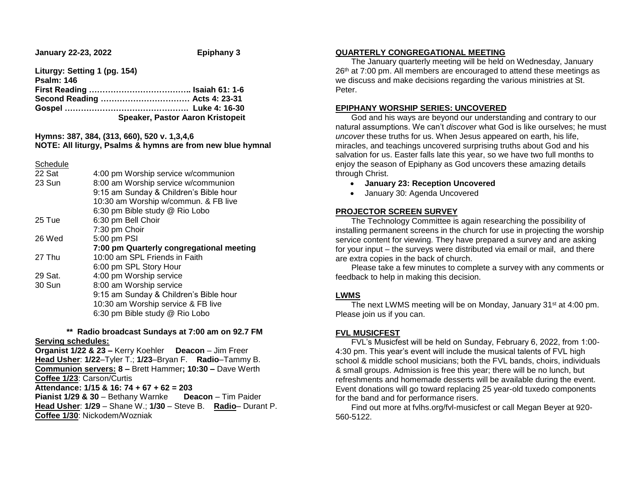**January 22-23, 2022 Epiphany 3** 

**Liturgy: Setting 1 (pg. 154) Psalm: 146 First Reading ……………………………….. Isaiah 61: 1-6 Second Reading …………………………… Acts 4: 23-31 Gospel ………………………………………. Luke 4: 16-30 Speaker, Pastor Aaron Kristopeit**

#### **Hymns: 387, 384, (313, 660), 520 v. 1,3,4,6 NOTE: All liturgy, Psalms & hymns are from new blue hymnal**

Schedule

| 22 Sat  | 4:00 pm Worship service w/communion      |
|---------|------------------------------------------|
| 23 Sun  | 8:00 am Worship service w/communion      |
|         | 9:15 am Sunday & Children's Bible hour   |
|         | 10:30 am Worship w/commun. & FB live     |
|         | 6:30 pm Bible study @ Rio Lobo           |
| 25 Tue  | 6:30 pm Bell Choir                       |
|         | 7:30 pm Choir                            |
| 26 Wed  | 5:00 pm PSI                              |
|         |                                          |
|         | 7:00 pm Quarterly congregational meeting |
| 27 Thu  | 10:00 am SPL Friends in Faith            |
|         | 6:00 pm SPL Story Hour                   |
| 29 Sat. | 4:00 pm Worship service                  |
| 30 Sun  | 8:00 am Worship service                  |
|         | 9:15 am Sunday & Children's Bible hour   |
|         | 10:30 am Worship service & FB live       |
|         | 6:30 pm Bible study @ Rio Lobo           |

#### **\*\* Radio broadcast Sundays at 7:00 am on 92.7 FM Serving schedules:**

**Organist 1/22 & 23 –** Kerry Koehler **Deacon** – Jim Freer **Head Usher**: **1/22**–Tyler T.; **1/23**–Bryan F. **Radio**–Tammy B. **Communion servers: 8 –** Brett Hammer**; 10:30 –** Dave Werth **Coffee 1/23**: Carson/Curtis **Attendance: 1/15 & 16: 74 + 67 + 62 = 203 Pianist 1/29 & 30** – Bethany Warnke **Deacon** – Tim Paider **Head Usher**: **1/29** – Shane W.; **1/30** – Steve B. **Radio**– Durant P. **Coffee 1/30**: Nickodem/Wozniak

#### **QUARTERLY CONGREGATIONAL MEETING**

 The January quarterly meeting will be held on Wednesday, January 26<sup>th</sup> at 7:00 pm. All members are encouraged to attend these meetings as we discuss and make decisions regarding the various ministries at St. Peter.

#### **EPIPHANY WORSHIP SERIES: UNCOVERED**

 God and his ways are beyond our understanding and contrary to our natural assumptions. We can't *discover* what God is like ourselves; he must *uncover* these truths for us. When Jesus appeared on earth, his life, miracles, and teachings uncovered surprising truths about God and his salvation for us. Easter falls late this year, so we have two full months to enjoy the season of Epiphany as God uncovers these amazing details through Christ.

- **January 23: Reception Uncovered**
- January 30: Agenda Uncovered

#### **PROJECTOR SCREEN SURVEY**

 The Technology Committee is again researching the possibility of installing permanent screens in the church for use in projecting the worship service content for viewing. They have prepared a survey and are asking for your input – the surveys were distributed via email or mail, and there are extra copies in the back of church.

 Please take a few minutes to complete a survey with any comments or feedback to help in making this decision.

## **LWMS**

The next LWMS meeting will be on Monday, January 31<sup>st</sup> at 4:00 pm. Please join us if you can.

## **FVL MUSICFEST**

 FVL's Musicfest will be held on Sunday, February 6, 2022, from 1:00- 4:30 pm. This year's event will include the musical talents of FVL high school & middle school musicians; both the FVL bands, choirs, individuals & small groups. Admission is free this year; there will be no lunch, but refreshments and homemade desserts will be available during the event. Event donations will go toward replacing 25 year-old tuxedo components for the band and for performance risers.

 Find out more at fvlhs.org/fvl-musicfest or call Megan Beyer at 920- 560-5122.